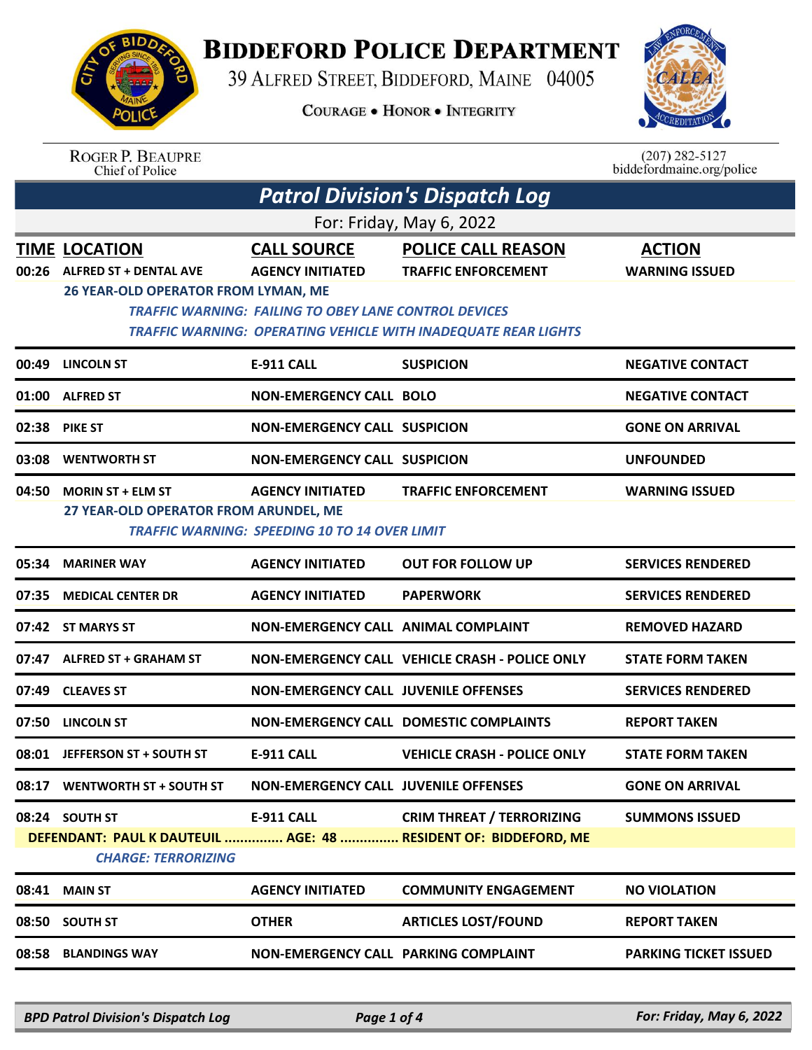

## **BIDDEFORD POLICE DEPARTMENT**

39 ALFRED STREET, BIDDEFORD, MAINE 04005

**COURAGE . HONOR . INTEGRITY** 



ROGER P. BEAUPRE<br>Chief of Police

 $(207)$  282-5127<br>biddefordmaine.org/police

| <b>Patrol Division's Dispatch Log</b> |                                                                                              |                                                                                                               |                                                                                                                           |                                        |  |  |
|---------------------------------------|----------------------------------------------------------------------------------------------|---------------------------------------------------------------------------------------------------------------|---------------------------------------------------------------------------------------------------------------------------|----------------------------------------|--|--|
| For: Friday, May 6, 2022              |                                                                                              |                                                                                                               |                                                                                                                           |                                        |  |  |
| 00:26                                 | <b>TIME LOCATION</b><br><b>ALFRED ST + DENTAL AVE</b><br>26 YEAR-OLD OPERATOR FROM LYMAN, ME | <b>CALL SOURCE</b><br><b>AGENCY INITIATED</b><br><b>TRAFFIC WARNING: FAILING TO OBEY LANE CONTROL DEVICES</b> | <b>POLICE CALL REASON</b><br><b>TRAFFIC ENFORCEMENT</b><br>TRAFFIC WARNING: OPERATING VEHICLE WITH INADEQUATE REAR LIGHTS | <b>ACTION</b><br><b>WARNING ISSUED</b> |  |  |
| 00:49                                 | <b>LINCOLN ST</b>                                                                            | <b>E-911 CALL</b>                                                                                             | <b>SUSPICION</b>                                                                                                          | <b>NEGATIVE CONTACT</b>                |  |  |
| 01:00                                 | <b>ALFRED ST</b>                                                                             | <b>NON-EMERGENCY CALL BOLO</b>                                                                                |                                                                                                                           | <b>NEGATIVE CONTACT</b>                |  |  |
| 02:38                                 | <b>PIKE ST</b>                                                                               | <b>NON-EMERGENCY CALL SUSPICION</b>                                                                           |                                                                                                                           | <b>GONE ON ARRIVAL</b>                 |  |  |
| 03:08                                 | <b>WENTWORTH ST</b>                                                                          | <b>NON-EMERGENCY CALL SUSPICION</b>                                                                           |                                                                                                                           | <b>UNFOUNDED</b>                       |  |  |
| 04:50                                 | <b>MORIN ST + ELM ST</b><br>27 YEAR-OLD OPERATOR FROM ARUNDEL, ME                            | <b>AGENCY INITIATED</b><br>TRAFFIC WARNING: SPEEDING 10 TO 14 OVER LIMIT                                      | <b>TRAFFIC ENFORCEMENT</b>                                                                                                | <b>WARNING ISSUED</b>                  |  |  |
| 05:34                                 | <b>MARINER WAY</b>                                                                           | <b>AGENCY INITIATED</b>                                                                                       | <b>OUT FOR FOLLOW UP</b>                                                                                                  | <b>SERVICES RENDERED</b>               |  |  |
| 07:35                                 | <b>MEDICAL CENTER DR</b>                                                                     | <b>AGENCY INITIATED</b>                                                                                       | <b>PAPERWORK</b>                                                                                                          | <b>SERVICES RENDERED</b>               |  |  |
| 07:42                                 | <b>ST MARYS ST</b>                                                                           | NON-EMERGENCY CALL ANIMAL COMPLAINT                                                                           |                                                                                                                           | <b>REMOVED HAZARD</b>                  |  |  |
| 07:47                                 | <b>ALFRED ST + GRAHAM ST</b>                                                                 |                                                                                                               | NON-EMERGENCY CALL VEHICLE CRASH - POLICE ONLY                                                                            | <b>STATE FORM TAKEN</b>                |  |  |
| 07:49                                 | <b>CLEAVES ST</b>                                                                            | <b>NON-EMERGENCY CALL JUVENILE OFFENSES</b>                                                                   |                                                                                                                           | <b>SERVICES RENDERED</b>               |  |  |
| 07:50                                 | <b>LINCOLN ST</b>                                                                            |                                                                                                               | <b>NON-EMERGENCY CALL DOMESTIC COMPLAINTS</b>                                                                             | <b>REPORT TAKEN</b>                    |  |  |
| 08:01                                 | <b>JEFFERSON ST + SOUTH ST</b>                                                               | <b>E-911 CALL</b>                                                                                             | <b>VEHICLE CRASH - POLICE ONLY</b>                                                                                        | <b>STATE FORM TAKEN</b>                |  |  |
| 08:17                                 | WENTWORTH ST + SOUTH ST                                                                      | <b>NON-EMERGENCY CALL JUVENILE OFFENSES</b>                                                                   |                                                                                                                           | <b>GONE ON ARRIVAL</b>                 |  |  |
|                                       | 08:24 SOUTH ST<br><b>CHARGE: TERRORIZING</b>                                                 | <b>E-911 CALL</b>                                                                                             | <b>CRIM THREAT / TERRORIZING</b><br>DEFENDANT: PAUL K DAUTEUIL  AGE: 48  RESIDENT OF: BIDDEFORD, ME                       | <b>SUMMONS ISSUED</b>                  |  |  |
| 08:41                                 | <b>MAIN ST</b>                                                                               | <b>AGENCY INITIATED</b>                                                                                       | <b>COMMUNITY ENGAGEMENT</b>                                                                                               | <b>NO VIOLATION</b>                    |  |  |
| 08:50                                 | <b>SOUTH ST</b>                                                                              | <b>OTHER</b>                                                                                                  | <b>ARTICLES LOST/FOUND</b>                                                                                                | <b>REPORT TAKEN</b>                    |  |  |
| 08:58                                 | <b>BLANDINGS WAY</b>                                                                         | NON-EMERGENCY CALL PARKING COMPLAINT                                                                          |                                                                                                                           | <b>PARKING TICKET ISSUED</b>           |  |  |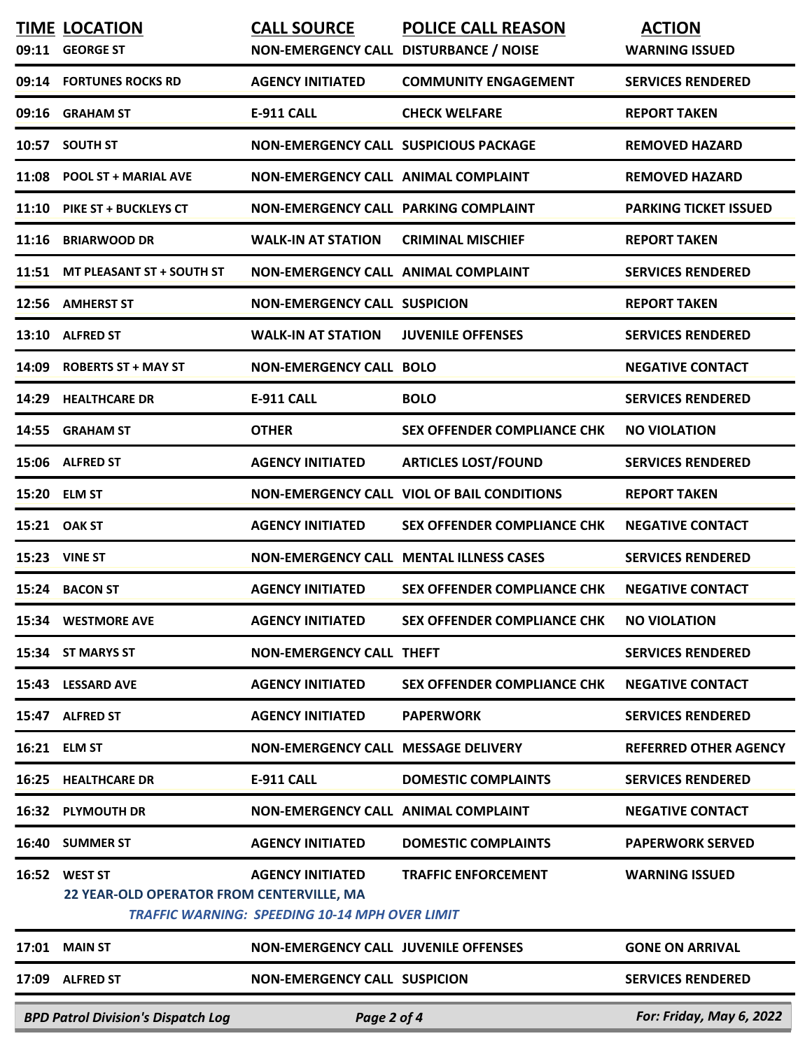| 09:11 | <b>TIME LOCATION</b><br><b>GEORGE ST</b>                    | <b>CALL SOURCE</b><br>NON-EMERGENCY CALL DISTURBANCE / NOISE                     | <b>POLICE CALL REASON</b>                         | <b>ACTION</b><br><b>WARNING ISSUED</b> |
|-------|-------------------------------------------------------------|----------------------------------------------------------------------------------|---------------------------------------------------|----------------------------------------|
|       | 09:14 FORTUNES ROCKS RD                                     | <b>AGENCY INITIATED</b>                                                          | <b>COMMUNITY ENGAGEMENT</b>                       | <b>SERVICES RENDERED</b>               |
| 09:16 | <b>GRAHAM ST</b>                                            | <b>E-911 CALL</b>                                                                | <b>CHECK WELFARE</b>                              | <b>REPORT TAKEN</b>                    |
|       | 10:57 SOUTH ST                                              | <b>NON-EMERGENCY CALL SUSPICIOUS PACKAGE</b>                                     |                                                   | <b>REMOVED HAZARD</b>                  |
| 11:08 | <b>POOL ST + MARIAL AVE</b>                                 | NON-EMERGENCY CALL ANIMAL COMPLAINT                                              |                                                   | <b>REMOVED HAZARD</b>                  |
| 11:10 | <b>PIKE ST + BUCKLEYS CT</b>                                | <b>NON-EMERGENCY CALL PARKING COMPLAINT</b>                                      |                                                   | <b>PARKING TICKET ISSUED</b>           |
| 11:16 | <b>BRIARWOOD DR</b>                                         | <b>WALK-IN AT STATION</b>                                                        | <b>CRIMINAL MISCHIEF</b>                          | <b>REPORT TAKEN</b>                    |
| 11:51 | <b>MT PLEASANT ST + SOUTH ST</b>                            | NON-EMERGENCY CALL ANIMAL COMPLAINT                                              |                                                   | <b>SERVICES RENDERED</b>               |
| 12:56 | <b>AMHERST ST</b>                                           | <b>NON-EMERGENCY CALL SUSPICION</b>                                              |                                                   | <b>REPORT TAKEN</b>                    |
| 13:10 | <b>ALFRED ST</b>                                            | <b>WALK-IN AT STATION</b>                                                        | <b>JUVENILE OFFENSES</b>                          | <b>SERVICES RENDERED</b>               |
| 14:09 | <b>ROBERTS ST + MAY ST</b>                                  | <b>NON-EMERGENCY CALL BOLO</b>                                                   |                                                   | <b>NEGATIVE CONTACT</b>                |
| 14:29 | <b>HEALTHCARE DR</b>                                        | <b>E-911 CALL</b>                                                                | <b>BOLO</b>                                       | <b>SERVICES RENDERED</b>               |
| 14:55 | <b>GRAHAM ST</b>                                            | <b>OTHER</b>                                                                     | <b>SEX OFFENDER COMPLIANCE CHK</b>                | <b>NO VIOLATION</b>                    |
|       | 15:06 ALFRED ST                                             | <b>AGENCY INITIATED</b>                                                          | <b>ARTICLES LOST/FOUND</b>                        | <b>SERVICES RENDERED</b>               |
| 15:20 | <b>ELM ST</b>                                               |                                                                                  | <b>NON-EMERGENCY CALL VIOL OF BAIL CONDITIONS</b> | <b>REPORT TAKEN</b>                    |
|       | 15:21 OAK ST                                                | <b>AGENCY INITIATED</b>                                                          | <b>SEX OFFENDER COMPLIANCE CHK</b>                | <b>NEGATIVE CONTACT</b>                |
|       | <b>15:23 VINE ST</b>                                        |                                                                                  | <b>NON-EMERGENCY CALL MENTAL ILLNESS CASES</b>    | <b>SERVICES RENDERED</b>               |
| 15:24 | <b>BACON ST</b>                                             | <b>AGENCY INITIATED</b>                                                          | <b>SEX OFFENDER COMPLIANCE CHK</b>                | <b>NEGATIVE CONTACT</b>                |
|       | 15:34 WESTMORE AVE                                          | <b>AGENCY INITIATED</b>                                                          | <b>SEX OFFENDER COMPLIANCE CHK</b>                | <b>NO VIOLATION</b>                    |
|       | 15:34 ST MARYS ST                                           | <b>NON-EMERGENCY CALL THEFT</b>                                                  |                                                   | <b>SERVICES RENDERED</b>               |
|       | 15:43 LESSARD AVE                                           | <b>AGENCY INITIATED</b>                                                          | <b>SEX OFFENDER COMPLIANCE CHK</b>                | <b>NEGATIVE CONTACT</b>                |
|       | 15:47 ALFRED ST                                             | <b>AGENCY INITIATED</b>                                                          | <b>PAPERWORK</b>                                  | <b>SERVICES RENDERED</b>               |
|       | 16:21 ELM ST                                                | <b>NON-EMERGENCY CALL MESSAGE DELIVERY</b>                                       |                                                   | <b>REFERRED OTHER AGENCY</b>           |
|       | 16:25 HEALTHCARE DR                                         | <b>E-911 CALL</b>                                                                | <b>DOMESTIC COMPLAINTS</b>                        | <b>SERVICES RENDERED</b>               |
|       | 16:32 PLYMOUTH DR                                           | NON-EMERGENCY CALL ANIMAL COMPLAINT                                              |                                                   | <b>NEGATIVE CONTACT</b>                |
| 16:40 | <b>SUMMER ST</b>                                            | <b>AGENCY INITIATED</b>                                                          | <b>DOMESTIC COMPLAINTS</b>                        | <b>PAPERWORK SERVED</b>                |
| 16:52 | <b>WEST ST</b><br>22 YEAR-OLD OPERATOR FROM CENTERVILLE, MA | <b>AGENCY INITIATED</b><br><b>TRAFFIC WARNING: SPEEDING 10-14 MPH OVER LIMIT</b> | <b>TRAFFIC ENFORCEMENT</b>                        | <b>WARNING ISSUED</b>                  |
| 17:01 | <b>MAIN ST</b>                                              | <b>NON-EMERGENCY CALL JUVENILE OFFENSES</b>                                      |                                                   | <b>GONE ON ARRIVAL</b>                 |
| 17:09 | <b>ALFRED ST</b>                                            | <b>NON-EMERGENCY CALL SUSPICION</b>                                              |                                                   | <b>SERVICES RENDERED</b>               |
|       | <b>BPD Patrol Division's Dispatch Log</b>                   | For: Friday, May 6, 2022                                                         |                                                   |                                        |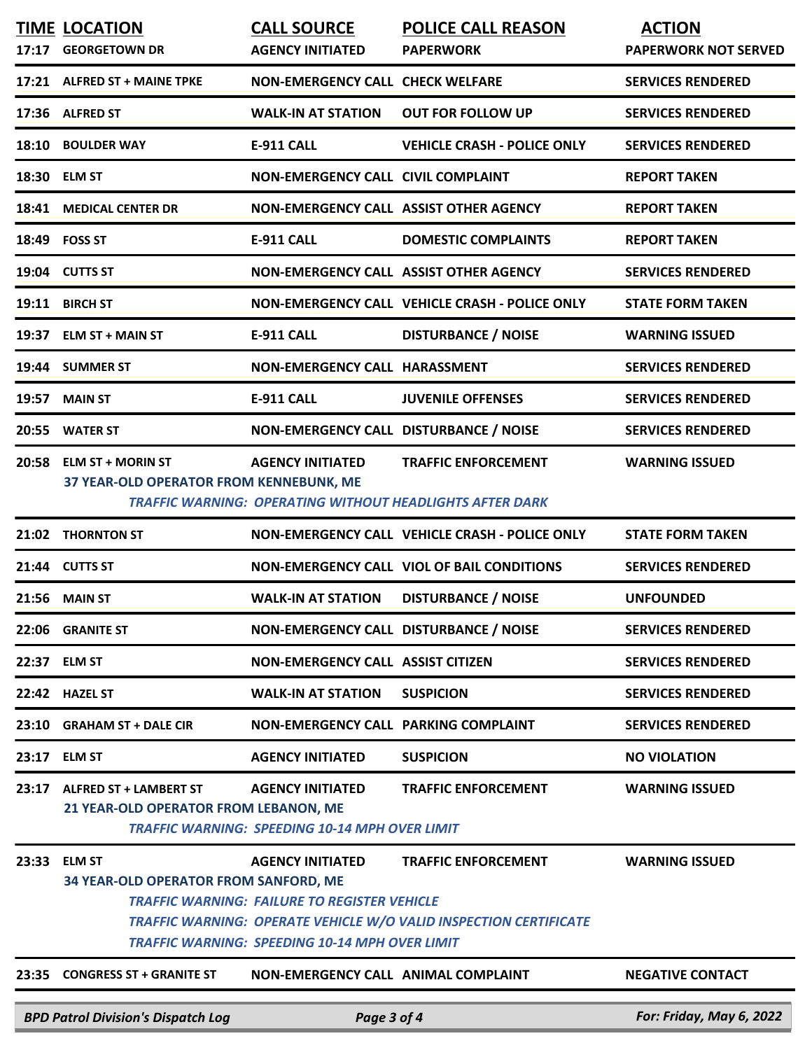|               | <b>CALL SOURCE</b>                                                                                                                                                                                                                                                                                                                                                                                                                                                                                                                    | <b>POLICE CALL REASON</b>                                                                                                                                                                        | <b>ACTION</b>                                                                                                                                                                                                                                                                                                                                                                                                                                                                                                                                                                                                                                                                                                                                                                                                                                                                                                   |
|---------------|---------------------------------------------------------------------------------------------------------------------------------------------------------------------------------------------------------------------------------------------------------------------------------------------------------------------------------------------------------------------------------------------------------------------------------------------------------------------------------------------------------------------------------------|--------------------------------------------------------------------------------------------------------------------------------------------------------------------------------------------------|-----------------------------------------------------------------------------------------------------------------------------------------------------------------------------------------------------------------------------------------------------------------------------------------------------------------------------------------------------------------------------------------------------------------------------------------------------------------------------------------------------------------------------------------------------------------------------------------------------------------------------------------------------------------------------------------------------------------------------------------------------------------------------------------------------------------------------------------------------------------------------------------------------------------|
|               |                                                                                                                                                                                                                                                                                                                                                                                                                                                                                                                                       |                                                                                                                                                                                                  | <b>PAPERWORK NOT SERVED</b>                                                                                                                                                                                                                                                                                                                                                                                                                                                                                                                                                                                                                                                                                                                                                                                                                                                                                     |
|               |                                                                                                                                                                                                                                                                                                                                                                                                                                                                                                                                       |                                                                                                                                                                                                  | <b>SERVICES RENDERED</b>                                                                                                                                                                                                                                                                                                                                                                                                                                                                                                                                                                                                                                                                                                                                                                                                                                                                                        |
|               | <b>WALK-IN AT STATION</b>                                                                                                                                                                                                                                                                                                                                                                                                                                                                                                             | <b>OUT FOR FOLLOW UP</b>                                                                                                                                                                         | <b>SERVICES RENDERED</b>                                                                                                                                                                                                                                                                                                                                                                                                                                                                                                                                                                                                                                                                                                                                                                                                                                                                                        |
|               | <b>E-911 CALL</b>                                                                                                                                                                                                                                                                                                                                                                                                                                                                                                                     | <b>VEHICLE CRASH - POLICE ONLY</b>                                                                                                                                                               | <b>SERVICES RENDERED</b>                                                                                                                                                                                                                                                                                                                                                                                                                                                                                                                                                                                                                                                                                                                                                                                                                                                                                        |
|               |                                                                                                                                                                                                                                                                                                                                                                                                                                                                                                                                       |                                                                                                                                                                                                  | <b>REPORT TAKEN</b>                                                                                                                                                                                                                                                                                                                                                                                                                                                                                                                                                                                                                                                                                                                                                                                                                                                                                             |
|               |                                                                                                                                                                                                                                                                                                                                                                                                                                                                                                                                       |                                                                                                                                                                                                  | <b>REPORT TAKEN</b>                                                                                                                                                                                                                                                                                                                                                                                                                                                                                                                                                                                                                                                                                                                                                                                                                                                                                             |
|               | <b>E-911 CALL</b>                                                                                                                                                                                                                                                                                                                                                                                                                                                                                                                     | <b>DOMESTIC COMPLAINTS</b>                                                                                                                                                                       | <b>REPORT TAKEN</b>                                                                                                                                                                                                                                                                                                                                                                                                                                                                                                                                                                                                                                                                                                                                                                                                                                                                                             |
|               |                                                                                                                                                                                                                                                                                                                                                                                                                                                                                                                                       |                                                                                                                                                                                                  | <b>SERVICES RENDERED</b>                                                                                                                                                                                                                                                                                                                                                                                                                                                                                                                                                                                                                                                                                                                                                                                                                                                                                        |
|               |                                                                                                                                                                                                                                                                                                                                                                                                                                                                                                                                       |                                                                                                                                                                                                  | <b>STATE FORM TAKEN</b>                                                                                                                                                                                                                                                                                                                                                                                                                                                                                                                                                                                                                                                                                                                                                                                                                                                                                         |
|               | <b>E-911 CALL</b>                                                                                                                                                                                                                                                                                                                                                                                                                                                                                                                     | <b>DISTURBANCE / NOISE</b>                                                                                                                                                                       | <b>WARNING ISSUED</b>                                                                                                                                                                                                                                                                                                                                                                                                                                                                                                                                                                                                                                                                                                                                                                                                                                                                                           |
|               |                                                                                                                                                                                                                                                                                                                                                                                                                                                                                                                                       |                                                                                                                                                                                                  | <b>SERVICES RENDERED</b>                                                                                                                                                                                                                                                                                                                                                                                                                                                                                                                                                                                                                                                                                                                                                                                                                                                                                        |
|               | <b>E-911 CALL</b>                                                                                                                                                                                                                                                                                                                                                                                                                                                                                                                     | <b>JUVENILE OFFENSES</b>                                                                                                                                                                         | <b>SERVICES RENDERED</b>                                                                                                                                                                                                                                                                                                                                                                                                                                                                                                                                                                                                                                                                                                                                                                                                                                                                                        |
|               |                                                                                                                                                                                                                                                                                                                                                                                                                                                                                                                                       |                                                                                                                                                                                                  | <b>SERVICES RENDERED</b>                                                                                                                                                                                                                                                                                                                                                                                                                                                                                                                                                                                                                                                                                                                                                                                                                                                                                        |
|               | <b>AGENCY INITIATED</b>                                                                                                                                                                                                                                                                                                                                                                                                                                                                                                               | <b>TRAFFIC ENFORCEMENT</b>                                                                                                                                                                       | <b>WARNING ISSUED</b>                                                                                                                                                                                                                                                                                                                                                                                                                                                                                                                                                                                                                                                                                                                                                                                                                                                                                           |
|               |                                                                                                                                                                                                                                                                                                                                                                                                                                                                                                                                       |                                                                                                                                                                                                  |                                                                                                                                                                                                                                                                                                                                                                                                                                                                                                                                                                                                                                                                                                                                                                                                                                                                                                                 |
|               |                                                                                                                                                                                                                                                                                                                                                                                                                                                                                                                                       |                                                                                                                                                                                                  | <b>STATE FORM TAKEN</b>                                                                                                                                                                                                                                                                                                                                                                                                                                                                                                                                                                                                                                                                                                                                                                                                                                                                                         |
|               |                                                                                                                                                                                                                                                                                                                                                                                                                                                                                                                                       |                                                                                                                                                                                                  | <b>SERVICES RENDERED</b>                                                                                                                                                                                                                                                                                                                                                                                                                                                                                                                                                                                                                                                                                                                                                                                                                                                                                        |
|               | <b>WALK-IN AT STATION</b>                                                                                                                                                                                                                                                                                                                                                                                                                                                                                                             | <b>DISTURBANCE / NOISE</b>                                                                                                                                                                       | <b>UNFOUNDED</b>                                                                                                                                                                                                                                                                                                                                                                                                                                                                                                                                                                                                                                                                                                                                                                                                                                                                                                |
|               |                                                                                                                                                                                                                                                                                                                                                                                                                                                                                                                                       |                                                                                                                                                                                                  | <b>SERVICES RENDERED</b>                                                                                                                                                                                                                                                                                                                                                                                                                                                                                                                                                                                                                                                                                                                                                                                                                                                                                        |
|               |                                                                                                                                                                                                                                                                                                                                                                                                                                                                                                                                       |                                                                                                                                                                                                  | <b>SERVICES RENDERED</b>                                                                                                                                                                                                                                                                                                                                                                                                                                                                                                                                                                                                                                                                                                                                                                                                                                                                                        |
|               | <b>WALK-IN AT STATION</b>                                                                                                                                                                                                                                                                                                                                                                                                                                                                                                             | <b>SUSPICION</b>                                                                                                                                                                                 | <b>SERVICES RENDERED</b>                                                                                                                                                                                                                                                                                                                                                                                                                                                                                                                                                                                                                                                                                                                                                                                                                                                                                        |
|               |                                                                                                                                                                                                                                                                                                                                                                                                                                                                                                                                       |                                                                                                                                                                                                  | <b>SERVICES RENDERED</b>                                                                                                                                                                                                                                                                                                                                                                                                                                                                                                                                                                                                                                                                                                                                                                                                                                                                                        |
|               | <b>AGENCY INITIATED</b>                                                                                                                                                                                                                                                                                                                                                                                                                                                                                                               | <b>SUSPICION</b>                                                                                                                                                                                 | <b>NO VIOLATION</b>                                                                                                                                                                                                                                                                                                                                                                                                                                                                                                                                                                                                                                                                                                                                                                                                                                                                                             |
|               | <b>AGENCY INITIATED</b>                                                                                                                                                                                                                                                                                                                                                                                                                                                                                                               | <b>TRAFFIC ENFORCEMENT</b>                                                                                                                                                                       | <b>WARNING ISSUED</b>                                                                                                                                                                                                                                                                                                                                                                                                                                                                                                                                                                                                                                                                                                                                                                                                                                                                                           |
| <b>ELM ST</b> | <b>AGENCY INITIATED</b>                                                                                                                                                                                                                                                                                                                                                                                                                                                                                                               | <b>TRAFFIC ENFORCEMENT</b>                                                                                                                                                                       | <b>WARNING ISSUED</b>                                                                                                                                                                                                                                                                                                                                                                                                                                                                                                                                                                                                                                                                                                                                                                                                                                                                                           |
|               |                                                                                                                                                                                                                                                                                                                                                                                                                                                                                                                                       |                                                                                                                                                                                                  | <b>NEGATIVE CONTACT</b>                                                                                                                                                                                                                                                                                                                                                                                                                                                                                                                                                                                                                                                                                                                                                                                                                                                                                         |
|               |                                                                                                                                                                                                                                                                                                                                                                                                                                                                                                                                       |                                                                                                                                                                                                  |                                                                                                                                                                                                                                                                                                                                                                                                                                                                                                                                                                                                                                                                                                                                                                                                                                                                                                                 |
|               | <b>TIME LOCATION</b><br>17:17 GEORGETOWN DR<br>17:21 ALFRED ST + MAINE TPKE<br>17:36 ALFRED ST<br>18:10 BOULDER WAY<br>18:30 ELM ST<br><b>18:41 MEDICAL CENTER DR</b><br>18:49 FOSS ST<br>19:04 CUTTS ST<br>19:11 BIRCH ST<br>19:37 ELM ST + MAIN ST<br>19:44 SUMMER ST<br><b>MAIN ST</b><br>20:55 WATER ST<br>20:58 ELM ST + MORIN ST<br><b>THORNTON ST</b><br>21:44 CUTTS ST<br>21:56 MAIN ST<br>22:06 GRANITE ST<br>22:37 ELM ST<br>22:42 HAZEL ST<br><b>GRAHAM ST + DALE CIR</b><br>23:17 ELM ST<br><b>ALFRED ST + LAMBERT ST</b> | <b>AGENCY INITIATED</b><br>37 YEAR-OLD OPERATOR FROM KENNEBUNK, ME<br>21 YEAR-OLD OPERATOR FROM LEBANON, ME<br>34 YEAR-OLD OPERATOR FROM SANFORD, ME<br><b>CONGRESS ST + GRANITE ST</b><br>23:35 | <b>PAPERWORK</b><br><b>NON-EMERGENCY CALL CHECK WELFARE</b><br>NON-EMERGENCY CALL CIVIL COMPLAINT<br>NON-EMERGENCY CALL ASSIST OTHER AGENCY<br>NON-EMERGENCY CALL ASSIST OTHER AGENCY<br>NON-EMERGENCY CALL VEHICLE CRASH - POLICE ONLY<br>NON-EMERGENCY CALL HARASSMENT<br>NON-EMERGENCY CALL DISTURBANCE / NOISE<br><b>TRAFFIC WARNING: OPERATING WITHOUT HEADLIGHTS AFTER DARK</b><br>NON-EMERGENCY CALL VEHICLE CRASH - POLICE ONLY<br><b>NON-EMERGENCY CALL VIOL OF BAIL CONDITIONS</b><br>NON-EMERGENCY CALL DISTURBANCE / NOISE<br><b>NON-EMERGENCY CALL ASSIST CITIZEN</b><br>NON-EMERGENCY CALL PARKING COMPLAINT<br><b>TRAFFIC WARNING: SPEEDING 10-14 MPH OVER LIMIT</b><br><b>TRAFFIC WARNING: FAILURE TO REGISTER VEHICLE</b><br><b>TRAFFIC WARNING: OPERATE VEHICLE W/O VALID INSPECTION CERTIFICATE</b><br>TRAFFIC WARNING: SPEEDING 10-14 MPH OVER LIMIT<br>NON-EMERGENCY CALL ANIMAL COMPLAINT |